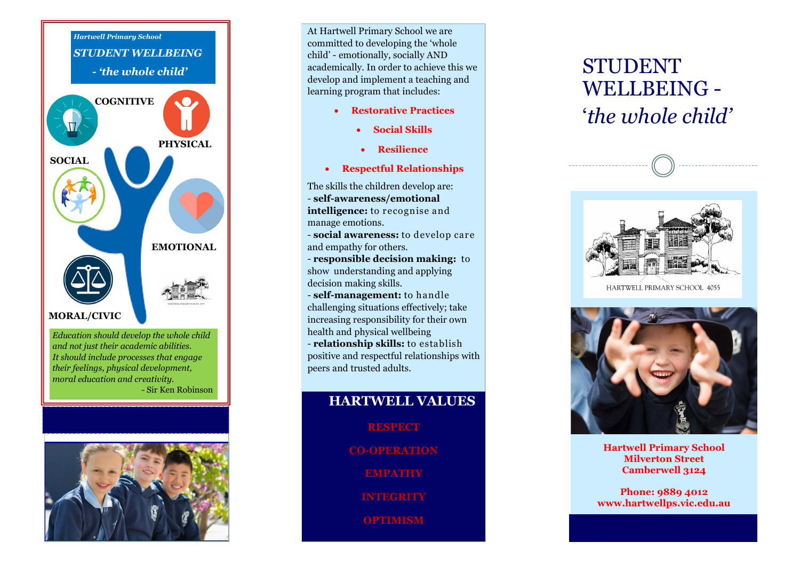

*Education should develop the whole child and not just their academic abilities. It should include processes that engage their feelings, physical development, moral education and creativity.* - Sir Ken Robinson



At Hartwell Primary School we are committed to developing the 'whole child' - emotionally, socially AND academically. In order to achieve this we develop and implement a teaching and learning program that includes:

- **Restorative Practices**
	- **Social Skills**
	- **Resilience**
- **Respectful Relationships**

The skills the children develop are: - **self-awareness/emotional intelligence:** to recognise and manage emotions.

- **social awareness:** to develop care and empathy for others.

- **responsible decision making:** to show understanding and applying decision making skills.

- **self-management:** to handle challenging situations effectively; take increasing responsibility for their own health and physical wellbeing

- **relationship skills:** to establish positive and respectful relationships with peers and trusted adults.

### **HARTWELL VALUES**

**RESPECT**

**CO-OPERATION**

**EMPATHY**

**INTEGRITY**

**OPTIMISM**

# STUDENT WELLBEING - '*the whole child'*



HARTWELL PRIMARY SCHOOL 4055



**Hartwell Primary School Milverton Street Camberwell 3124**

**Phone: 9889 4012 www.hartwellps.vic.edu.au**